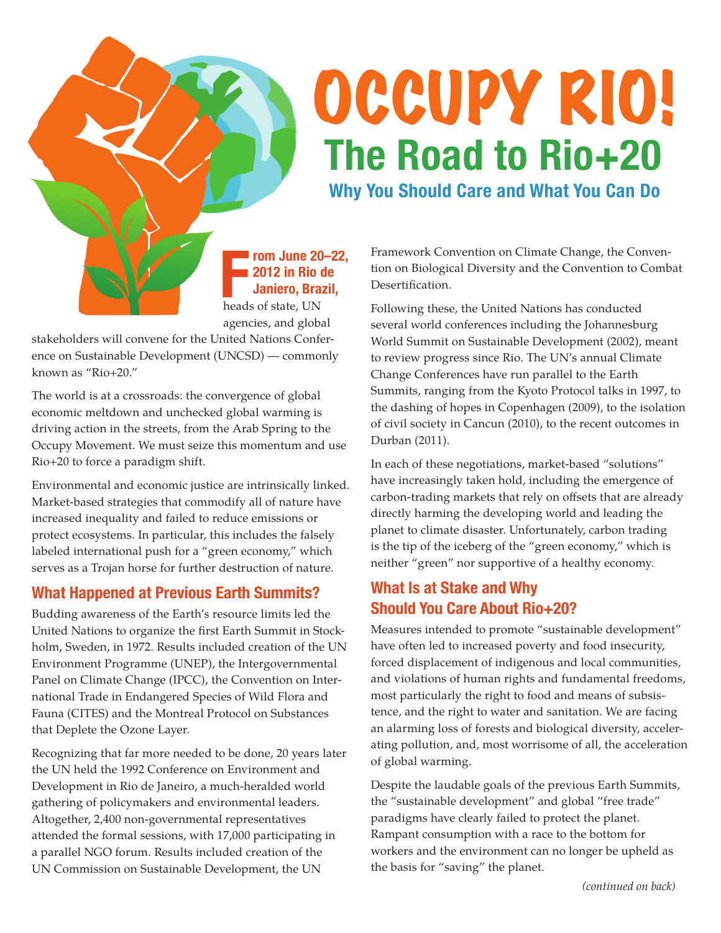# OCCUPY RIO! **The Road to Rio+20**

**Why You Should Care and What You Can Do**

#### **From June 20<br>
<b>FFE 2012 in Rio Contract**<br> **FFE 31 Janiero, Branch**<br> **FFE 31 And Algebra**<br> **FFE 31 And Algebra**<br> **FFE 31 And Algebra**<br> **FFE 31 And Algebra**<br> **FFE 31 And Algebra**<br> **FFE 31 And Algebra rom June 20–22, 2012 in Rio de Janiero, Brazil,**

agencies, and global

stakeholders will convene for the United Nations Conference on Sustainable Development (UNCSD) — commonly known as "Rio+20."

The world is at a crossroads: the convergence of global economic meltdown and unchecked global warming is driving action in the streets, from the Arab Spring to the Occupy Movement. We must seize this momentum and use Rio+20 to force a paradigm shift.

Environmental and economic justice are intrinsically linked. Market-based strategies that commodify all of nature have increased inequality and failed to reduce emissions or protect ecosystems. In particular, this includes the falsely labeled international push for a "green economy," which serves as a Trojan horse for further destruction of nature.

## **What Happened at Previous Earth Summits?**

Budding awareness of the Earth's resource limits led the United Nations to organize the first Earth Summit in Stockholm, Sweden, in 1972. Results included creation of the UN Environment Programme (UNEP), the Intergovernmental Panel on Climate Change (IPCC), the Convention on International Trade in Endangered Species of Wild Flora and Fauna (CITES) and the Montreal Protocol on Substances that Deplete the Ozone Layer.

Recognizing that far more needed to be done, 20 years later the UN held the 1992 Conference on Environment and Development in Rio de Janeiro, a much-heralded world gathering of policymakers and environmental leaders. Altogether, 2,400 non-governmental representatives attended the formal sessions, with 17,000 participating in a parallel NGO forum. Results included creation of the UN Commission on Sustainable Development, the UN

Framework Convention on Climate Change, the Convention on Biological Diversity and the Convention to Combat Desertification.

Following these, the United Nations has conducted several world conferences including the Johannesburg World Summit on Sustainable Development (2002), meant to review progress since Rio. The UN's annual Climate Change Conferences have run parallel to the Earth Summits, ranging from the Kyoto Protocol talks in 1997, to the dashing of hopes in Copenhagen (2009), to the isolation of civil society in Cancun (2010), to the recent outcomes in Durban (2011).

In each of these negotiations, market-based "solutions" have increasingly taken hold, including the emergence of carbon-trading markets that rely on offsets that are already directly harming the developing world and leading the planet to climate disaster. Unfortunately, carbon trading is the tip of the iceberg of the "green economy," which is neither "green" nor supportive of a healthy economy.

## **What Is at Stake and Why Should You Care About Rio+20?**

Measures intended to promote "sustainable development" have often led to increased poverty and food insecurity, forced displacement of indigenous and local communities, and violations of human rights and fundamental freedoms, most particularly the right to food and means of subsistence, and the right to water and sanitation. We are facing an alarming loss of forests and biological diversity, accelerating pollution, and, most worrisome of all, the acceleration of global warming.

Despite the laudable goals of the previous Earth Summits, the "sustainable development" and global "free trade" paradigms have clearly failed to protect the planet. Rampant consumption with a race to the bottom for workers and the environment can no longer be upheld as the basis for "saving" the planet.